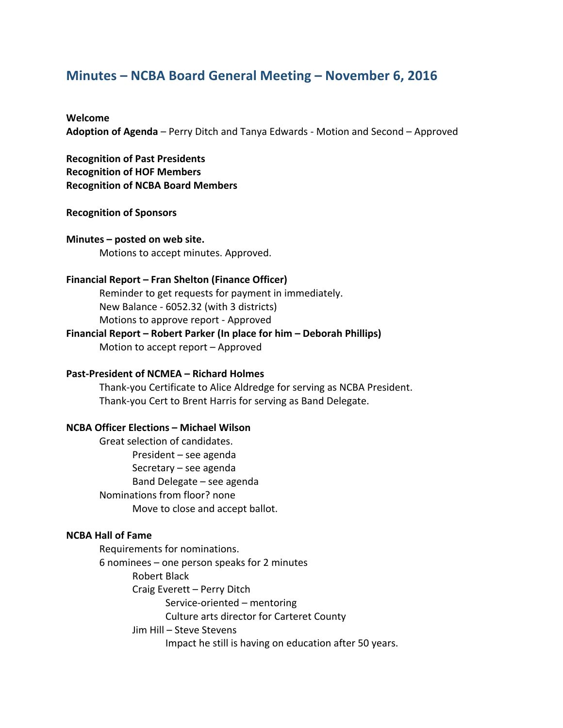# **Minutes – NCBA Board General Meeting – November 6, 2016**

#### **Welcome**

Adoption of Agenda – Perry Ditch and Tanya Edwards - Motion and Second – Approved

**Recognition of Past Presidents Recognition of HOF Members Recognition of NCBA Board Members** 

## **Recognition of Sponsors**

**Minutes – posted on web site.** Motions to accept minutes. Approved.

#### **Financial Report – Fran Shelton (Finance Officer)**

Reminder to get requests for payment in immediately. New Balance - 6052.32 (with 3 districts) Motions to approve report - Approved

### **Financial Report – Robert Parker (In place for him – Deborah Phillips)** Motion to accept report  $-$  Approved

# **Past-President of NCMEA – Richard Holmes**

Thank-you Certificate to Alice Aldredge for serving as NCBA President. Thank-you Cert to Brent Harris for serving as Band Delegate.

### **NCBA Officer Elections – Michael Wilson**

Great selection of candidates. President – see agenda Secretary  $-$  see agenda Band Delegate – see agenda Nominations from floor? none Move to close and accept ballot.

# **NCBA Hall of Fame**

Requirements for nominations.  $6$  nominees  $-$  one person speaks for 2 minutes Robert Black Craig Everett - Perry Ditch Service-oriented – mentoring Culture arts director for Carteret County Jim Hill - Steve Stevens Impact he still is having on education after 50 years.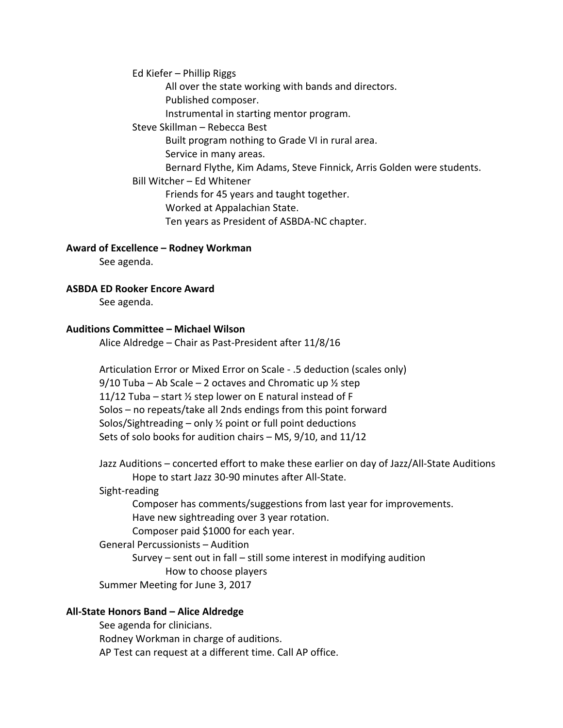Ed Kiefer  $-$  Phillip Riggs

All over the state working with bands and directors. Published composer.

Instrumental in starting mentor program.

Steve Skillman – Rebecca Best

Built program nothing to Grade VI in rural area.

Service in many areas.

Bernard Flythe, Kim Adams, Steve Finnick, Arris Golden were students.

Bill Witcher – Ed Whitener

Friends for 45 years and taught together.

Worked at Appalachian State.

Ten years as President of ASBDA-NC chapter.

Award of Excellence – Rodney Workman

See agenda.

**ASBDA ED Rooker Encore Award** 

See agenda.

# **Auditions Committee – Michael Wilson**

Alice Aldredge – Chair as Past-President after  $11/8/16$ 

Articulation Error or Mixed Error on Scale - .5 deduction (scales only) 9/10 Tuba – Ab Scale – 2 octaves and Chromatic up  $\frac{1}{2}$  step 11/12 Tuba – start  $\frac{1}{2}$  step lower on E natural instead of F Solos  $-$  no repeats/take all 2nds endings from this point forward Solos/Sightreading – only  $\frac{1}{2}$  point or full point deductions Sets of solo books for audition chairs  $-$  MS, 9/10, and 11/12

Jazz Auditions – concerted effort to make these earlier on day of Jazz/All-State Auditions Hope to start Jazz 30-90 minutes after All-State.

# Sight-reading

Composer has comments/suggestions from last year for improvements. Have new sightreading over 3 year rotation. Composer paid \$1000 for each year.

# General Percussionists - Audition

Survey – sent out in fall – still some interest in modifying audition How to choose players

Summer Meeting for June 3, 2017

# **All-State Honors Band – Alice Aldredge**

See agenda for clinicians. Rodney Workman in charge of auditions. AP Test can request at a different time. Call AP office.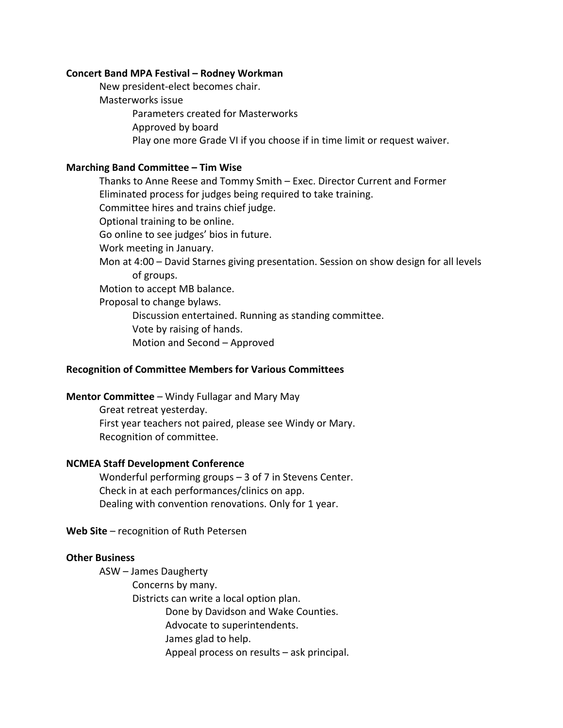#### **Concert Band MPA Festival – Rodney Workman**

New president-elect becomes chair. Masterworks issue Parameters created for Masterworks Approved by board Play one more Grade VI if you choose if in time limit or request waiver.

## **Marching Band Committee – Tim Wise**

Thanks to Anne Reese and Tommy Smith – Exec. Director Current and Former Eliminated process for judges being required to take training. Committee hires and trains chief judge. Optional training to be online. Go online to see judges' bios in future. Work meeting in January. Mon at  $4:00$  – David Starnes giving presentation. Session on show design for all levels of groups. Motion to accept MB balance. Proposal to change bylaws. Discussion entertained. Running as standing committee. Vote by raising of hands. Motion and Second – Approved

# **Recognition of Committee Members for Various Committees**

**Mentor Committee** – Windy Fullagar and Mary May

Great retreat yesterday. First year teachers not paired, please see Windy or Mary. Recognition of committee.

### **NCMEA Staff Development Conference**

Wonderful performing groups  $-$  3 of 7 in Stevens Center. Check in at each performances/clinics on app. Dealing with convention renovations. Only for 1 year.

Web Site – recognition of Ruth Petersen

### **Other Business**

ASW - James Daugherty

Concerns by many.

Districts can write a local option plan.

Done by Davidson and Wake Counties.

Advocate to superintendents.

James glad to help.

Appeal process on results  $-$  ask principal.